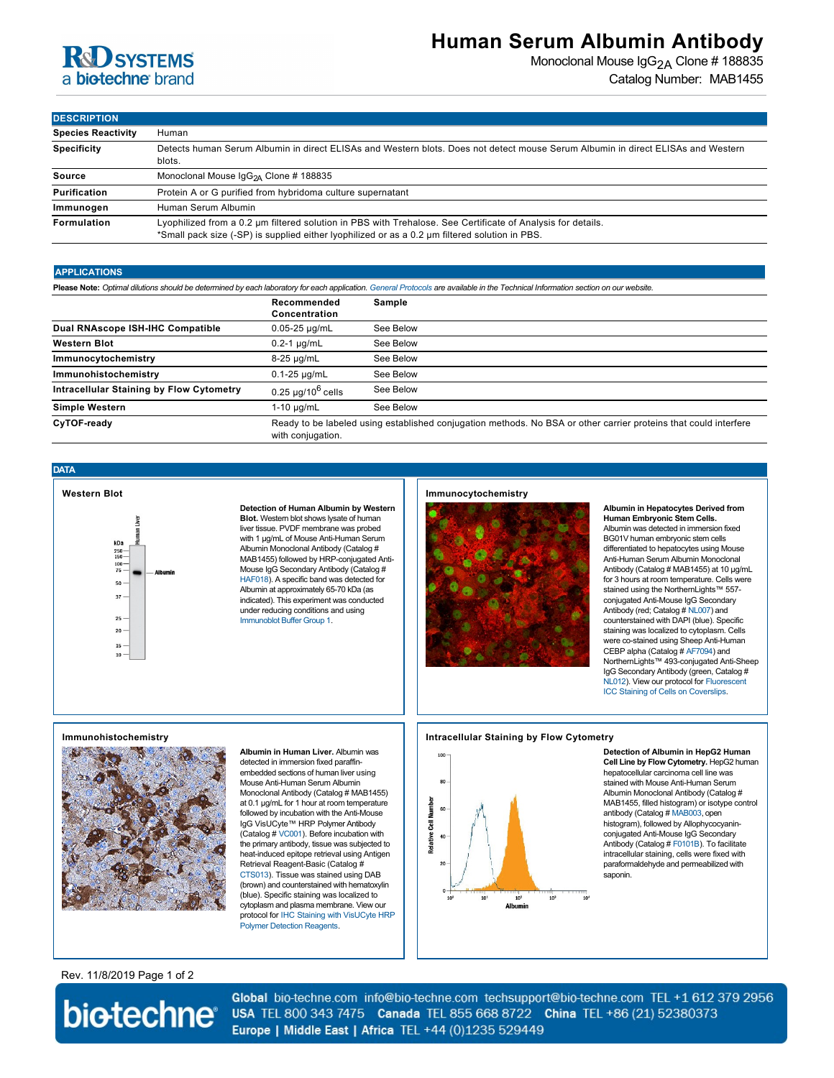

## **Human Serum Albumin Antibody**

Monoclonal Mouse IgG<sub>2A</sub> Clone # 188835 Catalog Number: MAB1455

**DESCRIPTION**

| <b>Species Reactivity</b> | Human                                                                                                                                                                                                         |  |
|---------------------------|---------------------------------------------------------------------------------------------------------------------------------------------------------------------------------------------------------------|--|
| <b>Specificity</b>        | Detects human Serum Albumin in direct ELISAs and Western blots. Does not detect mouse Serum Albumin in direct ELISAs and Western<br>blots.                                                                    |  |
| Source                    | Monoclonal Mouse IgG <sub>2A</sub> Clone # 188835                                                                                                                                                             |  |
| Purification              | Protein A or G purified from hybridoma culture supernatant                                                                                                                                                    |  |
| Immunogen                 | Human Serum Albumin                                                                                                                                                                                           |  |
| Formulation               | Lyophilized from a 0.2 um filtered solution in PBS with Trehalose. See Certificate of Analysis for details.<br>*Small pack size (-SP) is supplied either lyophilized or as a 0.2 µm filtered solution in PBS. |  |

### **APPLICATIONS**

**Please Note:** *Optimal dilutions should be determined by each laboratory for each application. [General Protocols](http://www.rndsystems.com/resources/protocols-troubleshooting-guides) are available in the Technical Information section on our website.*

|                                                 | Recommended<br>Concentration                                                                                                          | Sample    |
|-------------------------------------------------|---------------------------------------------------------------------------------------------------------------------------------------|-----------|
| Dual RNAscope ISH-IHC Compatible                | $0.05 - 25 \mu q/mL$                                                                                                                  | See Below |
| <b>Western Blot</b>                             | $0.2-1$ µg/mL                                                                                                                         | See Below |
| Immunocytochemistry                             | $8-25 \mu g/mL$                                                                                                                       | See Below |
| Immunohistochemistry                            | $0.1 - 25 \mu q/mL$                                                                                                                   | See Below |
| <b>Intracellular Staining by Flow Cytometry</b> | $0.25 \ \mu q / 10^6 \ \text{cells}$                                                                                                  | See Below |
| Simple Western                                  | $1-10 \mu q/mL$                                                                                                                       | See Below |
| CyTOF-ready                                     | Ready to be labeled using established conjugation methods. No BSA or other carrier proteins that could interfere<br>with conjugation. |           |

### **DATA**



**Detection of Human Albumin by Western Blot.** Western blot shows lysate of human liver tissue. PVDF membrane was probed with 1 µg/mL of Mouse Anti-Human Serum Albumin Monoclonal Antibody (Catalog # MAB1455) followed by HRP-conjugated Anti-Mouse IgG Secondary Antibody (Catalog # [HAF018](http://www.rndsystems.com/product_results.aspx?k=HAF018)). A specific band was detected for Albumin at approximately 65-70 kDa (as indicated). This experiment was conducted under reducing conditions and using [Immunoblot Buffer Group 1](http://www.rndsystems.com/go/westernblotconditions).

### **Immunocytochemistry**



**Albumin in Hepatocytes Derived from Human Embryonic Stem Cells.** Albumin was detected in immersion fixed BG01V human embryonic stem cells differentiated to hepatocytes using Mouse Anti-Human Serum Albumin Monoclonal Antibody (Catalog # MAB1455) at 10 µg/mL for 3 hours at room temperature. Cells were stained using the NorthernLights™ 557 conjugated Anti-Mouse IgG Secondary Antibody (red; Catalog # [NL007](http://www.rndsystems.com/product_results.aspx?k=NL007)) and counterstained with DAPI (blue). Specific staining was localized to cytoplasm. Cells were co-stained using Sheep Anti-Human CEBP alpha (Catalog # [AF7094\)](http://www.rndsystems.com/product_results.aspx?k=AF7094) and NorthernLights™ 493-conjugated Anti-Sheep IgG Secondary Antibody (green, Catalog # [NL012\). View our protocol for Fluorescent](http://www.rndsystems.com/ihc_detail_objectname_fluorescent_icc_coverslips.aspx) ICC Staining of Cells on Coverslips.

### **Immunohistochemistry**



**Albumin in Human Liver.** Albumin was detected in immersion fixed paraffinembedded sections of human liver using Mouse Anti-Human Serum Albumin Monoclonal Antibody (Catalog # MAB1455) at 0.1 µg/mL for 1 hour at room temperature followed by incubation with the Anti-Mouse IgG VisUCyte™ HRP Polymer Antibody (Catalog # [VC001](http://www.rndsystems.com/product_results.aspx?k=VC001)). Before incubation with the primary antibody, tissue was subjected to heat-induced epitope retrieval using Antigen Retrieval Reagent-Basic (Catalog # [CTS013](http://www.rndsystems.com/product_results.aspx?k=CTS013)). Tissue was stained using DAB (brown) and counterstained with hematoxylin (blue). Specific staining was localized to cytoplasm and plasma membrane. View our [protocol for IHC Staining with VisUCyte HRP](https://www.rndsystems.com/resources/protocols/protocol-visucyte-hrp-polymer-detection-reagent) Polymer Detection Reagents.

### **Intracellular Staining by Flow Cytometry**



**Detection of Albumin in HepG2 Human Cell Line by Flow Cytometry.** HepG2 human hepatocellular carcinoma cell line was stained with Mouse Anti-Human Serum Albumin Monoclonal Antibody (Catalog # MAB1455, filled histogram) or isotype control antibody (Catalog # [MAB003](http://www.rndsystems.com/search?keywords=MAB003), open histogram), followed by Allophycocyaninconjugated Anti-Mouse IgG Secondary Antibody (Catalog # [F0101B\)](http://www.rndsystems.com/search?keywords=F0101B). To facilitate intracellular staining, cells were fixed with paraformaldehyde and permeabilized with saponin.

Rev. 11/8/2019 Page 1 of 2

# biotechne®

Global bio-techne.com info@bio-techne.com techsupport@bio-techne.com TEL +1 612 379 2956 USA TEL 800 343 7475 Canada TEL 855 668 8722 China TEL +86 (21) 52380373 Europe | Middle East | Africa TEL +44 (0)1235 529449